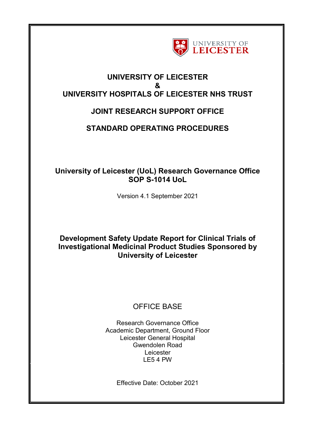

## **UNIVERSITY OF LEICESTER & UNIVERSITY HOSPITALS OF LEICESTER NHS TRUST**

# **JOINT RESEARCH SUPPORT OFFICE**

## **STANDARD OPERATING PROCEDURES**

## **University of Leicester (UoL) Research Governance Office SOP S-1014 UoL**

Version 4.1 September 2021

## **Development Safety Update Report for Clinical Trials of Investigational Medicinal Product Studies Sponsored by University of Leicester**

# OFFICE BASE

Research Governance Office Academic Department, Ground Floor Leicester General Hospital Gwendolen Road Leicester LE5 4 PW

Effective Date: October 2021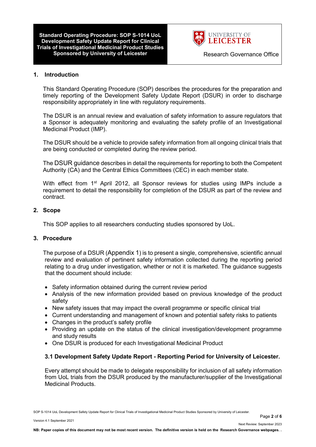**Standard Operating Procedure: SOP S-1014 UoL Development Safety Update Report for Clinical Trials of Investigational Medicinal Product Studies Sponsored by University of Leicester <b>Research Governance Office** 



#### **1. Introduction**

This Standard Operating Procedure (SOP) describes the procedures for the preparation and timely reporting of the Development Safety Update Report (DSUR) in order to discharge responsibility appropriately in line with regulatory requirements.

The DSUR is an annual review and evaluation of safety information to assure regulators that a Sponsor is adequately monitoring and evaluating the safety profile of an Investigational Medicinal Product (IMP).

The DSUR should be a vehicle to provide safety information from all ongoing clinical trials that are being conducted or completed during the review period.

The DSUR guidance describes in detail the requirements for reporting to both the Competent Authority (CA) and the Central Ethics Committees (CEC) in each member state.

With effect from 1<sup>st</sup> April 2012, all Sponsor reviews for studies using IMPs include a requirement to detail the responsibility for completion of the DSUR as part of the review and contract.

#### **2. Scope**

This SOP applies to all researchers conducting studies sponsored by UoL.

#### **3. Procedure**

The purpose of a DSUR (Appendix 1) is to present a single, comprehensive, scientific annual review and evaluation of pertinent safety information collected during the reporting period relating to a drug under investigation, whether or not it is marketed. The guidance suggests that the document should include:

- Safety information obtained during the current review period
- Analysis of the new information provided based on previous knowledge of the product safety
- New safety issues that may impact the overall programme or specific clinical trial
- Current understanding and management of known and potential safety risks to patients
- Changes in the product's safety profile
- Providing an update on the status of the clinical investigation/development programme and study results
- One DSUR is produced for each Investigational Medicinal Product

#### **3.1 Development Safety Update Report - Reporting Period for University of Leicester.**

Every attempt should be made to delegate responsibility for inclusion of all safety information from UoL trials from the DSUR produced by the manufacturer/supplier of the Investigational Medicinal Products.

SOP S-1014 UoL Development Safety Update Report for Clinical Trials of Investigational Medicinal Product Studies Sponsored by University of Leicester.

Page **2** of **6**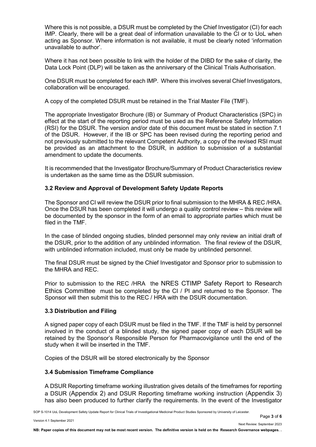Where this is not possible, a DSUR must be completed by the Chief Investigator (CI) for each IMP. Clearly, there will be a great deal of information unavailable to the CI or to UoL when acting as Sponsor. Where information is not available, it must be clearly noted 'information unavailable to author'.

Where it has not been possible to link with the holder of the DIBD for the sake of clarity, the Data Lock Point (DLP) will be taken as the anniversary of the Clinical Trials Authorisation.

One DSUR must be completed for each IMP. Where this involves several Chief Investigators, collaboration will be encouraged.

A copy of the completed DSUR must be retained in the Trial Master File (TMF).

The appropriate Investigator Brochure (IB) or Summary of Product Characteristics (SPC) in effect at the start of the reporting period must be used as the Reference Safety Information (RSI) for the DSUR. The version and/or date of this document must be stated in section 7.1 of the DSUR. However, if the IB or SPC has been revised during the reporting period and not previously submitted to the relevant Competent Authority, a copy of the revised RSI must be provided as an attachment to the DSUR, in addition to submission of a substantial amendment to update the documents.

It is recommended that the Investigator Brochure/Summary of Product Characteristics review is undertaken as the same time as the DSUR submission.

## **3.2 Review and Approval of Development Safety Update Reports**

The Sponsor and CI will review the DSUR prior to final submission to the MHRA & REC /HRA. Once the DSUR has been completed it will undergo a quality control review – this review will be documented by the sponsor in the form of an email to appropriate parties which must be filed in the TMF.

In the case of blinded ongoing studies, blinded personnel may only review an initial draft of the DSUR, prior to the addition of any unblinded information. The final review of the DSUR, with unblinded information included, must only be made by unblinded personnel.

The final DSUR must be signed by the Chief Investigator and Sponsor prior to submission to the MHRA and REC.

Prior to submission to the REC /HRA the NRES CTIMP Safety Report to Research Ethics Committee must be completed by the CI / PI and returned to the Sponsor. The Sponsor will then submit this to the REC / HRA with the DSUR documentation.

#### **3.3 Distribution and Filing**

A signed paper copy of each DSUR must be filed in the TMF. If the TMF is held by personnel involved in the conduct of a blinded study, the signed paper copy of each DSUR will be retained by the Sponsor's Responsible Person for Pharmacovigilance until the end of the study when it will be inserted in the TMF.

Copies of the DSUR will be stored electronically by the Sponsor

## **3.4 Submission Timeframe Compliance**

A DSUR Reporting timeframe working illustration gives details of the timeframes for reporting a DSUR (Appendix 2) and DSUR Reporting timeframe working instruction (Appendix 3) has also been produced to further clarify the requirements. In the event of the Investigator

SOP S-1014 UoL Development Safety Update Report for Clinical Trials of Investigational Medicinal Product Studies Sponsored by University of Leicester.

Page **3** of **6**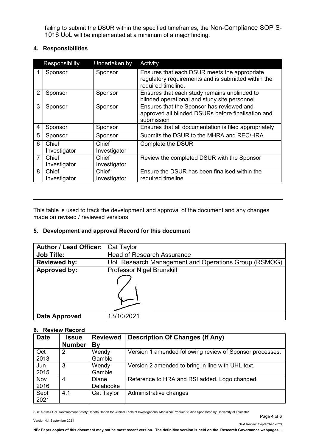failing to submit the DSUR within the specified timeframes, the Non-Compliance SOP S-1016 UoL will be implemented at a minimum of a major finding.

## **4. Responsibilities**

| <b>Undertaken by</b><br>Responsibility |                       |                       | Activity                                                                                                                  |
|----------------------------------------|-----------------------|-----------------------|---------------------------------------------------------------------------------------------------------------------------|
|                                        | Sponsor               | Sponsor               | Ensures that each DSUR meets the appropriate<br>regulatory requirements and is submitted within the<br>required timeline. |
| $\overline{2}$                         | Sponsor               | Sponsor               | Ensures that each study remains unblinded to<br>blinded operational and study site personnel                              |
| 3                                      | Sponsor               | Sponsor               | Ensures that the Sponsor has reviewed and<br>approved all blinded DSURs before finalisation and<br>submission             |
| 4                                      | Sponsor               | Sponsor               | Ensures that all documentation is filed appropriately                                                                     |
| 5                                      | Sponsor               | Sponsor               | Submits the DSUR to the MHRA and REC/HRA                                                                                  |
| 6                                      | Chief                 | Chief                 | Complete the DSUR                                                                                                         |
|                                        | Investigator          | Investigator          |                                                                                                                           |
| $\overline{7}$                         | Chief                 | Chief                 | Review the completed DSUR with the Sponsor                                                                                |
|                                        | Investigator          | Investigator          |                                                                                                                           |
| 8                                      | Chief<br>Investigator | Chief<br>Investigator | Ensure the DSUR has been finalised within the<br>required timeline                                                        |

This table is used to track the development and approval of the document and any changes made on revised / reviewed versions

## **5. Development and approval Record for this document**

| <b>Author / Lead Officer:</b> | Cat Taylor                                           |  |  |
|-------------------------------|------------------------------------------------------|--|--|
| <b>Job Title:</b>             | <b>Head of Research Assurance</b>                    |  |  |
| <b>Reviewed by:</b>           | UoL Research Management and Operations Group (RSMOG) |  |  |
| Approved by:                  | <b>Professor Nigel Brunskill</b>                     |  |  |
|                               |                                                      |  |  |
| Date Approved                 | 13/10/2021                                           |  |  |

### **6. Review Record**

| <b>Date</b> | <b>Issue</b>  | <b>Reviewed</b> | <b>Description Of Changes (If Any)</b>                   |
|-------------|---------------|-----------------|----------------------------------------------------------|
|             | <b>Number</b> | By              |                                                          |
| Oct         | 2             | Wendy           | Version 1 amended following review of Sponsor processes. |
| 2013        |               | Gamble          |                                                          |
| Jun         | 3             | Wendy           | Version 2 amended to bring in line with UHL text.        |
| 2015        |               | Gamble          |                                                          |
| Nov         | 4             | Diane           | Reference to HRA and RSI added. Logo changed.            |
| 2016        |               | Delahooke       |                                                          |
| Sept        | 4.1           | Cat Taylor      | Administrative changes                                   |
| 2021        |               |                 |                                                          |

SOP S-1014 UoL Development Safety Update Report for Clinical Trials of Investigational Medicinal Product Studies Sponsored by University of Leicester.

Version 4.1 September 2021

Page **4** of **6**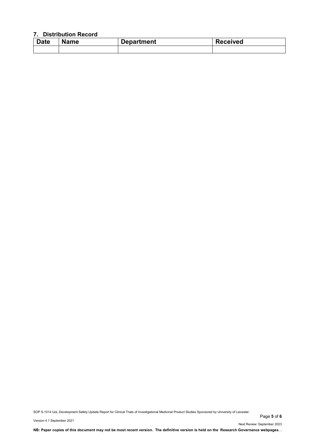### **7. Distribution Record**

| <b>Date</b> | <b>Name</b> | <b>Department</b> | <b>Received</b> |
|-------------|-------------|-------------------|-----------------|
|             |             |                   |                 |

SOP S-1014 UoL Development Safety Update Report for Clinical Trials of Investigational Medicinal Product Studies Sponsored by University of Leicester.

Page **5** of **6**